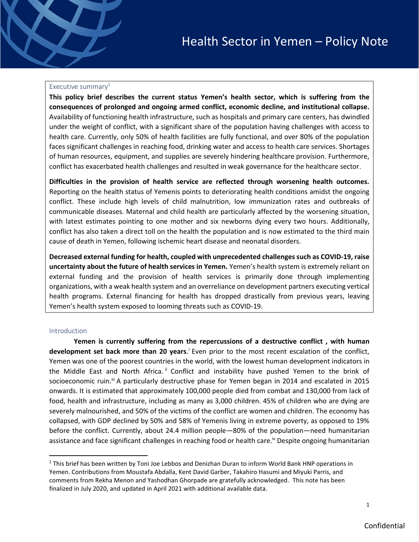### Executive summary $1$

September 2021 - 2021 - 2021 - 2021 - 2021 - 2021 - 2021 - 2021 - 2021 - 2021 - 2021 - 2021 - 2021 - 2021 - 20

**This policy brief describes the current status Yemen's health sector, which is suffering from the consequences of prolonged and ongoing armed conflict, economic decline, and institutional collapse.**  Availability of functioning health infrastructure, such as hospitals and primary care centers, has dwindled under the weight of conflict, with a significant share of the population having challenges with access to health care. Currently, only 50% of health facilities are fully functional, and over 80% of the population faces significant challenges in reaching food, drinking water and access to health care services. Shortages of human resources, equipment, and supplies are severely hindering healthcare provision. Furthermore, conflict has exacerbated health challenges and resulted in weak governance for the healthcare sector.

**Difficulties in the provision of health service are reflected through worsening health outcomes.**  Reporting on the health status of Yemenis points to deteriorating health conditions amidst the ongoing conflict. These include high levels of child malnutrition, low immunization rates and outbreaks of communicable diseases. Maternal and child health are particularly affected by the worsening situation, with latest estimates pointing to one mother and six newborns dying every two hours. Additionally, conflict has also taken a direct toll on the health the population and is now estimated to the third main cause of death in Yemen, following ischemic heart disease and neonatal disorders.

**Decreased external funding for health, coupled with unprecedented challenges such as COVID-19, raise uncertainty about the future of health services in Yemen.** Yemen's health system is extremely reliant on external funding and the provision of health services is primarily done through implementing organizations, with a weak health system and an overreliance on development partners executing vertical health programs. External financing for health has dropped drastically from previous years, leaving Yemen's health system exposed to looming threats such as COVID-19.

### Introduction

**Yemen is currently suffering from the repercussions of a destructive conflict , with human**  development set back more than 20 years.<sup>i</sup> Even prior to the most recent escalation of the conflict, Yemen was one of the poorest countries in the world, with the lowest human development indicators in the Middle East and North Africa. " Conflict and instability have pushed Yemen to the brink of socioeconomic ruin.<sup>ii</sup> A particularly destructive phase for Yemen began in 2014 and escalated in 2015 onwards. It is estimated that approximately 100,000 people died from combat and 130,000 from lack of food, health and infrastructure, including as many as 3,000 children. 45% of children who are dying are severely malnourished, and 50% of the victims of the conflict are women and children. The economy has collapsed, with GDP declined by 50% and 58% of Yemenis living in extreme poverty, as opposed to 19% before the conflict. Currently, about 24.4 million people—80% of the population—need humanitarian assistance and face significant challenges in reaching food or health care.<sup>iv</sup> Despite ongoing humanitarian

 $1$  This brief has been written by Toni Joe Lebbos and Denizhan Duran to inform World Bank HNP operations in Yemen. Contributions from Moustafa Abdalla, Kent David Garber, Takahiro Hasumi and Miyuki Parris, and comments from Rekha Menon and Yashodhan Ghorpade are gratefully acknowledged. This note has been finalized in July 2020, and updated in April 2021 with additional available data.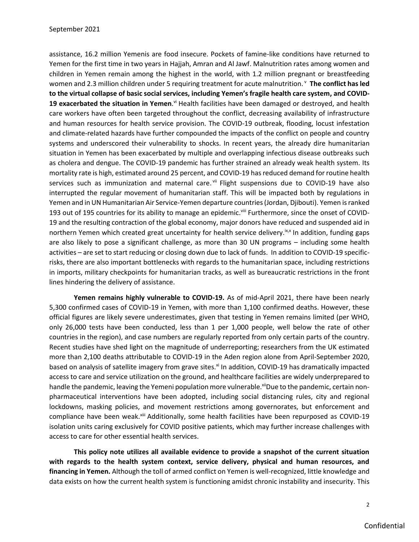assistance, 16.2 million Yemenis are food insecure. Pockets of famine-like conditions have returned to Yemen for the first time in two years in Hajjah, Amran and Al Jawf. Malnutrition rates among women and children in Yemen remain among the highest in the world, with 1.2 million pregnant or breastfeeding women and 2.3 million children under 5 requiring treatment for acute malnutrition. <sup>v</sup> The conflict has led **to the virtual collapse of basic social services, including Yemen's fragile health care system, and COVID-**19 exacerbated the situation in Yemen.<sup>vi</sup> Health facilities have been damaged or destroyed, and health care workers have often been targeted throughout the conflict, decreasing availability of infrastructure and human resources for health service provision. The COVID-19 outbreak, flooding, locust infestation and climate-related hazards have further compounded the impacts of the conflict on people and country systems and underscored their vulnerability to shocks. In recent years, the already dire humanitarian situation in Yemen has been exacerbated by multiple and overlapping infectious disease outbreaks such as cholera and dengue. The COVID-19 pandemic has further strained an already weak health system. Its mortality rate is high, estimated around 25 percent, and COVID-19 has reduced demand for routine health services such as immunization and maternal care.<sup>vii</sup> Flight suspensions due to COVID-19 have also interrupted the regular movement of humanitarian staff. This will be impacted both by regulations in Yemen and in UN Humanitarian Air Service-Yemen departure countries (Jordan, Djibouti). Yemen is ranked 193 out of 195 countries for its ability to manage an epidemic.<sup>viii</sup> Furthermore, since the onset of COVID-19 and the resulting contraction of the global economy, major donors have reduced and suspended aid in northern Yemen which created great uncertainty for health service delivery.<sup>ix,x</sup> In addition, funding gaps are also likely to pose a significant challenge, as more than 30 UN programs – including some health activities – are set to start reducing or closing down due to lack of funds. In addition to COVID-19 specificrisks, there are also important bottlenecks with regards to the humanitarian space, including restrictions in imports, military checkpoints for humanitarian tracks, as well as bureaucratic restrictions in the front lines hindering the delivery of assistance.

**Yemen remains highly vulnerable to COVID-19.** As of mid-April 2021, there have been nearly 5,300 confirmed cases of COVID-19 in Yemen, with more than 1,100 confirmed deaths. However, these official figures are likely severe underestimates, given that testing in Yemen remains limited (per WHO, only 26,000 tests have been conducted, less than 1 per 1,000 people, well below the rate of other countries in the region), and case numbers are regularly reported from only certain parts of the country. Recent studies have shed light on the magnitude of underreporting; researchers from the UK estimated more than 2,100 deaths attributable to COVID-19 in the Aden region alone from April-September 2020, based on analysis of satellite imagery from grave sites.<sup>xi</sup> In addition, COVID-19 has dramatically impacted access to care and service utilization on the ground, and healthcare facilities are widely underprepared to handle the pandemic, leaving the Yemeni population more vulnerable.<sup>xii</sup>Due to the pandemic, certain nonpharmaceutical interventions have been adopted, including social distancing rules, city and regional lockdowns, masking policies, and movement restrictions among governorates, but enforcement and compliance have been weak.<sup>xiii</sup> Additionally, some health facilities have been repurposed as COVID-19 isolation units caring exclusively for COVID positive patients, which may further increase challenges with access to care for other essential health services.

**This policy note utilizes all available evidence to provide a snapshot of the current situation with regards to the health system context, service delivery, physical and human resources, and financing in Yemen.** Although the toll of armed conflict on Yemen is well-recognized, little knowledge and data exists on how the current health system is functioning amidst chronic instability and insecurity. This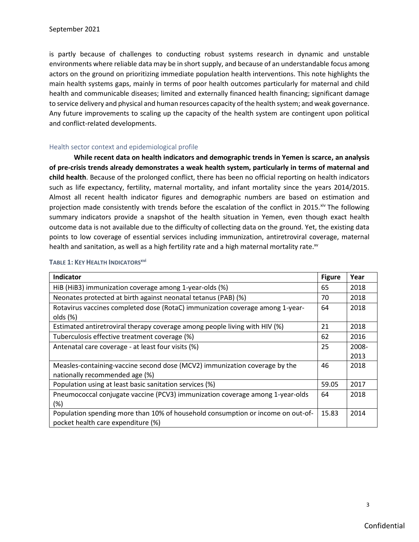is partly because of challenges to conducting robust systems research in dynamic and unstable environments where reliable data may be in short supply, and because of an understandable focus among actors on the ground on prioritizing immediate population health interventions. This note highlights the main health systems gaps, mainly in terms of poor health outcomes particularly for maternal and child health and communicable diseases; limited and externally financed health financing; significant damage to service delivery and physical and human resources capacity of the health system; and weak governance. Any future improvements to scaling up the capacity of the health system are contingent upon political and conflict-related developments.

### Health sector context and epidemiological profile

**While recent data on health indicators and demographic trends in Yemen is scarce, an analysis of pre-crisis trends already demonstrates a weak health system, particularly in terms of maternal and child health**. Because of the prolonged conflict, there has been no official reporting on health indicators such as life expectancy, fertility, maternal mortality, and infant mortality since the years 2014/2015. Almost all recent health indicator figures and demographic numbers are based on estimation and projection made consistently with trends before the escalation of the conflict in 2015.<sup>xiv</sup> The following summary indicators provide a snapshot of the health situation in Yemen, even though exact health outcome data is not available due to the difficulty of collecting data on the ground. Yet, the existing data points to low coverage of essential services including immunization, antiretroviral coverage, maternal health and sanitation, as well as a high fertility rate and a high maternal mortality rate.<sup>xv</sup>

| <b>Indicator</b>                                                                                                      | <b>Figure</b> | Year          |
|-----------------------------------------------------------------------------------------------------------------------|---------------|---------------|
| HiB (HiB3) immunization coverage among 1-year-olds (%)                                                                | 65            | 2018          |
| Neonates protected at birth against neonatal tetanus (PAB) (%)                                                        | 70            | 2018          |
| Rotavirus vaccines completed dose (RotaC) immunization coverage among 1-year-<br>olds(%)                              | 64            | 2018          |
| Estimated antiretroviral therapy coverage among people living with HIV (%)                                            | 21            | 2018          |
| Tuberculosis effective treatment coverage (%)                                                                         | 62            | 2016          |
| Antenatal care coverage - at least four visits (%)                                                                    | 25            | 2008-<br>2013 |
| Measles-containing-vaccine second dose (MCV2) immunization coverage by the<br>nationally recommended age (%)          | 46            | 2018          |
| Population using at least basic sanitation services (%)                                                               | 59.05         | 2017          |
| Pneumococcal conjugate vaccine (PCV3) immunization coverage among 1-year-olds<br>$(\%)$                               | 64            | 2018          |
| Population spending more than 10% of household consumption or income on out-of-<br>pocket health care expenditure (%) | 15.83         | 2014          |

## **TABLE 1: KEY HEALTH INDICATORSxvi**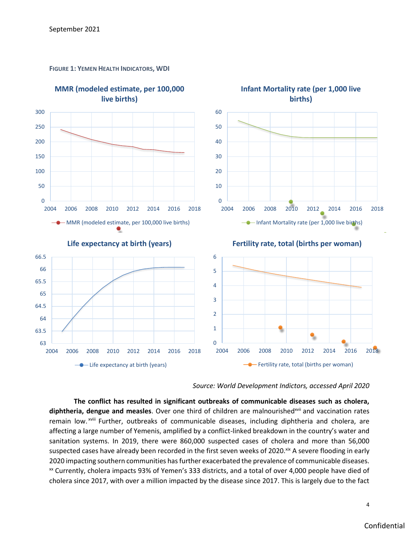

**FIGURE 1: YEMEN HEALTH INDICATORS, WDI**



**The conflict has resulted in significant outbreaks of communicable diseases such as cholera,**  diphtheria, dengue and measles. Over one third of children are malnourished<sup>xvii</sup> and vaccination rates remain low.<sup>xviii</sup> Further, outbreaks of communicable diseases, including diphtheria and cholera, are affecting a large number of Yemenis, amplified by a conflict-linked breakdown in the country's water and sanitation systems. In 2019, there were 860,000 suspected cases of cholera and more than 56,000 suspected cases have already been recorded in the first seven weeks of 2020.<sup>xix</sup> A severe flooding in early 2020 impacting southern communities has further exacerbated the prevalence of communicable diseases. xx Currently, cholera impacts 93% of Yemen's 333 districts, and a total of over 4,000 people have died of cholera since 2017, with over a million impacted by the disease since 2017. This is largely due to the fact

4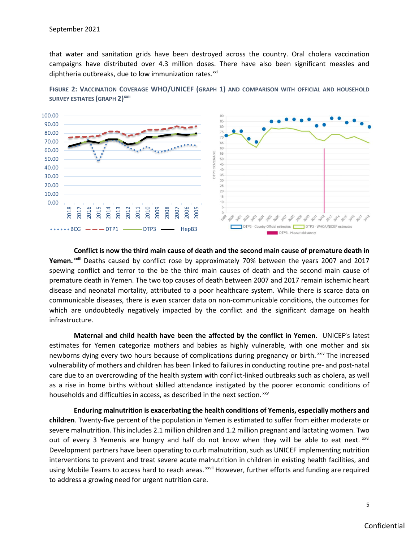that water and sanitation grids have been destroyed across the country. Oral cholera vaccination campaigns have distributed over 4.3 million doses. There have also been significant measles and diphtheria outbreaks, due to low immunization rates.<sup>xxi</sup>



**FIGURE 2: VACCINATION COVERAGE WHO/UNICEF (GRAPH 1) AND COMPARISON WITH OFFICIAL AND HOUSEHOLD SURVEY ESTIATES (GRAPH 2)xxii**

**Conflict is now the third main cause of death and the second main cause of premature death in Yemen. xxiii** Deaths caused by conflict rose by approximately 70% between the years 2007 and 2017 spewing conflict and terror to the be the third main causes of death and the second main cause of premature death in Yemen. The two top causes of death between 2007 and 2017 remain ischemic heart disease and neonatal mortality, attributed to a poor healthcare system. While there is scarce data on communicable diseases, there is even scarcer data on non-communicable conditions, the outcomes for which are undoubtedly negatively impacted by the conflict and the significant damage on health infrastructure.

**Maternal and child health have been the affected by the conflict in Yemen**. UNICEF's latest estimates for Yemen categorize mothers and babies as highly vulnerable, with one mother and six newborns dying every two hours because of complications during pregnancy or birth. XXIV The increased vulnerability of mothers and children has been linked to failures in conducting routine pre- and post-natal care due to an overcrowding of the health system with conflict-linked outbreaks such as cholera, as well as a rise in home births without skilled attendance instigated by the poorer economic conditions of households and difficulties in access, as described in the next section. XXV

**Enduring malnutrition is exacerbating the health conditions of Yemenis, especially mothers and children**. Twenty-five percent of the population in Yemen is estimated to suffer from either moderate or severe malnutrition. This includes 2.1 million children and 1.2 million pregnant and lactating women. Two out of every 3 Yemenis are hungry and half do not know when they will be able to eat next.  $xwi$ Development partners have been operating to curb malnutrition, such as UNICEF implementing nutrition interventions to prevent and treat severe acute malnutrition in children in existing health facilities, and using Mobile Teams to access hard to reach areas. XXVII However, further efforts and funding are required to address a growing need for urgent nutrition care.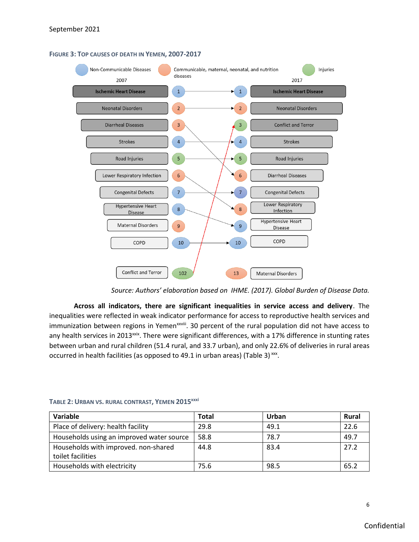



*Source: Authors' elaboration based on IHME. (2017). Global Burden of Disease Data.*

**Across all indicators, there are significant inequalities in service access and delivery**. The inequalities were reflected in weak indicator performance for access to reproductive health services and immunization between regions in Yemen<sup>xxviii</sup>. 30 percent of the rural population did not have access to any health services in 2013<sup>xxix</sup>. There were significant differences, with a 17% difference in stunting rates between urban and rural children (51.4 rural, and 33.7 urban), and only 22.6% of deliveries in rural areas occurred in health facilities (as opposed to 49.1 in urban areas) (Table 3) $\frac{xx}{x}$ .

| Variable                                  | Total | Urban | Rural |
|-------------------------------------------|-------|-------|-------|
| Place of delivery: health facility        | 29.8  | 49.1  | 22.6  |
| Households using an improved water source | 58.8  | 78.7  | 49.7  |
| Households with improved. non-shared      | 44.8  | 83.4  | 27.2  |
| toilet facilities                         |       |       |       |
| Households with electricity               | 75.6  | 98.5  | 65.2  |

**TABLE 2: URBAN VS. RURAL CONTRAST, YEMEN 2015xxxi**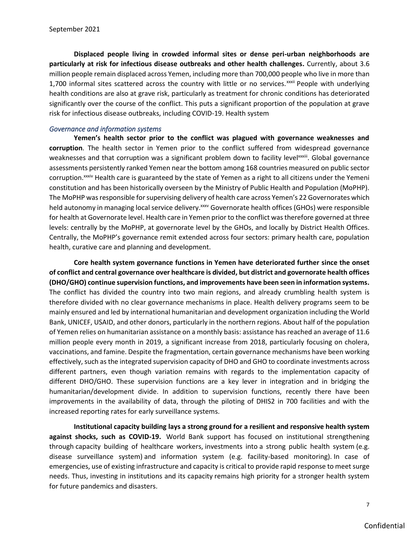**Displaced people living in crowded informal sites or dense peri-urban neighborhoods are particularly at risk for infectious disease outbreaks and other health challenges.** Currently, about 3.6 million people remain displaced across Yemen, including more than 700,000 people who live in more than 1,700 informal sites scattered across the country with little or no services.<sup>xxxii</sup> People with underlying health conditions are also at grave risk, particularly as treatment for chronic conditions has deteriorated significantly over the course of the conflict. This puts a significant proportion of the population at grave risk for infectious disease outbreaks, including COVID-19. Health system

## *Governance and information systems*

**Yemen's health sector prior to the conflict was plagued with governance weaknesses and corruption**. The health sector in Yemen prior to the conflict suffered from widespread governance weaknesses and that corruption was a significant problem down to facility levelxxxiii. Global governance assessments persistently ranked Yemen near the bottom among 168 countries measured on public sector corruption.<sup>xxxiv</sup> Health care is guaranteed by the state of Yemen as a right to all citizens under the Yemeni constitution and has been historically overseen by the Ministry of Public Health and Population (MoPHP). The MoPHP was responsible for supervising delivery of health care across Yemen's 22 Governorates which held autonomy in managing local service delivery.<sup>xxx</sup> Governorate health offices (GHOs) were responsible for health at Governorate level. Health care in Yemen prior to the conflict was therefore governed at three levels: centrally by the MoPHP, at governorate level by the GHOs, and locally by District Health Offices. Centrally, the MoPHP's governance remit extended across four sectors: primary health care, population health, curative care and planning and development.

**Core health system governance functions in Yemen have deteriorated further since the onset of conflict and central governance over healthcare is divided, but district and governorate health offices (DHO/GHO) continue supervision functions, and improvements have been seen in information systems.**  The conflict has divided the country into two main regions, and already crumbling health system is therefore divided with no clear governance mechanisms in place. Health delivery programs seem to be mainly ensured and led by international humanitarian and development organization including the World Bank, UNICEF, USAID, and other donors, particularly in the northern regions. About half of the population of Yemen relies on humanitarian assistance on a monthly basis: assistance has reached an average of 11.6 million people every month in 2019, a significant increase from 2018, particularly focusing on cholera, vaccinations, and famine. Despite the fragmentation, certain governance mechanisms have been working effectively, such as the integrated supervision capacity of DHO and GHO to coordinate investments across different partners, even though variation remains with regards to the implementation capacity of different DHO/GHO. These supervision functions are a key lever in integration and in bridging the humanitarian/development divide. In addition to supervision functions, recently there have been improvements in the availability of data, through the piloting of DHIS2 in 700 facilities and with the increased reporting rates for early surveillance systems.

**Institutional capacity building lays a strong ground for a resilient and responsive health system against shocks, such as COVID-19.** World Bank support has focused on institutional strengthening through capacity building of healthcare workers, investments into a strong public health system (e.g. disease surveillance system) and information system (e.g. facility-based monitoring). In case of emergencies, use of existing infrastructure and capacity is critical to provide rapid response to meet surge needs. Thus, investing in institutions and its capacity remains high priority for a stronger health system for future pandemics and disasters.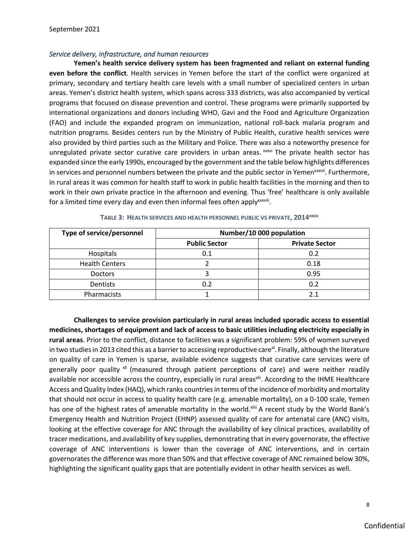# *Service delivery, infrastructure, and human resources*

**Yemen's health service delivery system has been fragmented and reliant on external funding even before the conflict**. Health services in Yemen before the start of the conflict were organized at primary, secondary and tertiary health care levels with a small number of specialized centers in urban areas. Yemen's district health system, which spans across 333 districts, was also accompanied by vertical programs that focused on disease prevention and control. These programs were primarily supported by international organizations and donors including WHO, Gavi and the Food and Agriculture Organization (FAO) and include the expanded program on immunization, national roll-back malaria program and nutrition programs. Besides centers run by the Ministry of Public Health, curative health services were also provided by third parties such as the Military and Police. There was also a noteworthy presence for unregulated private sector curative care providers in urban areas. xxxvi The private health sector has expanded since the early 1990s, encouraged by the government and the table below highlights differences in services and personnel numbers between the private and the public sector in Yemen<sup>xxxvii</sup>. Furthermore, in rural areas it was common for health staff to work in public health facilities in the morning and then to work in their own private practice in the afternoon and evening. Thus 'free' healthcare is only available for a limited time every day and even then informal fees often apply<sup>xxxviii</sup>.

| Type of service/personnel | Number/10 000 population |                       |  |
|---------------------------|--------------------------|-----------------------|--|
|                           | <b>Public Sector</b>     | <b>Private Sector</b> |  |
| Hospitals                 | 0.1                      | 0.2                   |  |
| <b>Health Centers</b>     |                          | 0.18                  |  |
| <b>Doctors</b>            |                          | 0.95                  |  |
| <b>Dentists</b>           | 0.2                      | 0.2                   |  |
| Pharmacists               |                          | 2.1                   |  |

**TABLE 3: HEALTH SERVICES AND HEALTH PERSONNEL PUBLIC VS PRIVATE, 2014**xxxix

**Challenges to service provision particularly in rural areas included sporadic access to essential medicines, shortages of equipment and lack of access to basic utilities including electricity especially in rural areas**. Prior to the conflict, distance to facilities was a significant problem: 59% of women surveyed in two studies in 2013 cited this as a barrier to accessing reproductive care<sup>x</sup>. Finally, although the literature on quality of care in Yemen is sparse, available evidence suggests that curative care services were of generally poor quality <sup>xli</sup> (measured through patient perceptions of care) and were neither readily available nor accessible across the country, especially in rural areas<sup>xlii</sup>. According to the IHME Healthcare Access and Quality Index (HAQ), which ranks countries in terms of the incidence of morbidity and mortality that should not occur in access to quality health care (e.g. amenable mortality), on a 0-100 scale, Yemen has one of the highest rates of amenable mortality in the world.xliii A recent study by the World Bank's Emergency Health and Nutrition Project (EHNP) assessed quality of care for antenatal care (ANC) visits, looking at the effective coverage for ANC through the availability of key clinical practices, availability of tracer medications, and availability of key supplies, demonstrating that in every governorate, the effective coverage of ANC interventions is lower than the coverage of ANC interventions, and in certain governorates the difference was more than 50% and that effective coverage of ANC remained below 30%, highlighting the significant quality gaps that are potentially evident in other health services as well.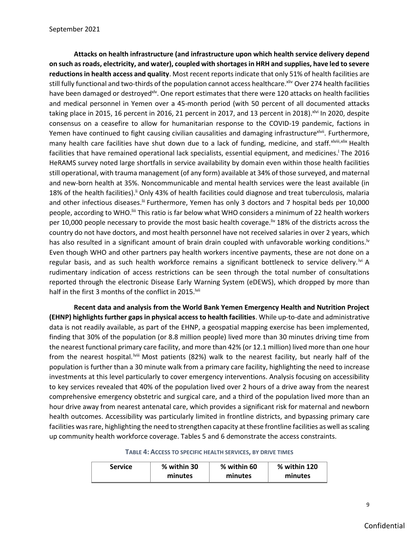**Attacks on health infrastructure (and infrastructure upon which health service delivery depend on such as roads, electricity, and water), coupled with shortages in HRH and supplies, have led to severe reductions in health access and quality**. Most recent reports indicate that only 51% of health facilities are still fully functional and two-thirds of the population cannot access healthcare.<sup>xliv</sup> Over 274 health facilities have been damaged or destroyed<sup>xlv</sup>. One report estimates that there were 120 attacks on health facilities and medical personnel in Yemen over a 45-month period (with 50 percent of all documented attacks taking place in 2015, 16 percent in 2016, 21 percent in 2017, and 13 percent in 2018). XIvi In 2020, despite consensus on a ceasefire to allow for humanitarian response to the COVID-19 pandemic, factions in Yemen have continued to fight causing civilian causalities and damaging infrastructure<sup>xlvii</sup>. Furthermore, many health care facilities have shut down due to a lack of funding, medicine, and staff. xlviii, xlix Health facilities that have remained operational lack specialists, essential equipment, and medicines. The 2016 HeRAMS survey noted large shortfalls in service availability by domain even within those health facilities still operational, with trauma management (of any form) available at 34% of those surveyed, and maternal and new-born health at 35%. Noncommunicable and mental health services were the least available (in 18% of the health facilities).<sup>Ii</sup> Only 43% of health facilities could diagnose and treat tuberculosis, malaria and other infectious diseases.<sup>Iii</sup> Furthermore, Yemen has only 3 doctors and 7 hospital beds per 10,000 people, according to WHO.<sup>III</sup> This ratio is far below what WHO considers a minimum of 22 health workers per 10,000 people necessary to provide the most basic health coverage.<sup>liv</sup> 18% of the districts across the country do not have doctors, and most health personnel have not received salaries in over 2 years, which has also resulted in a significant amount of brain drain coupled with unfavorable working conditions.<sup>1</sup> Even though WHO and other partners pay health workers incentive payments, these are not done on a regular basis, and as such health workforce remains a significant bottleneck to service delivery.<sup>Mi</sup> A rudimentary indication of access restrictions can be seen through the total number of consultations reported through the electronic Disease Early Warning System (eDEWS), which dropped by more than half in the first 3 months of the conflict in 2015.<sup>Ivii</sup>

**Recent data and analysis from the World Bank Yemen Emergency Health and Nutrition Project (EHNP) highlights further gaps in physical access to health facilities**. While up-to-date and administrative data is not readily available, as part of the EHNP, a geospatial mapping exercise has been implemented, finding that 30% of the population (or 8.8 million people) lived more than 30 minutes driving time from the nearest functional primary care facility, and more than 42% (or 12.1 million) lived more than one hour from the nearest hospital. Will Most patients (82%) walk to the nearest facility, but nearly half of the population is further than a 30 minute walk from a primary care facility, highlighting the need to increase investments at this level particularly to cover emergency interventions. Analysis focusing on accessibility to key services revealed that 40% of the population lived over 2 hours of a drive away from the nearest comprehensive emergency obstetric and surgical care, and a third of the population lived more than an hour drive away from nearest antenatal care, which provides a significant risk for maternal and newborn health outcomes. Accessibility was particularly limited in frontline districts, and bypassing primary care facilities was rare, highlighting the need to strengthen capacity at these frontline facilities as well as scaling up community health workforce coverage. Tables 5 and 6 demonstrate the access constraints.

**TABLE 4: ACCESS TO SPECIFIC HEALTH SERVICES, BY DRIVE TIMES**

| Service | % within 30 | % within 60 | % within 120 |  |
|---------|-------------|-------------|--------------|--|
|         | minutes     | minutes     | minutes      |  |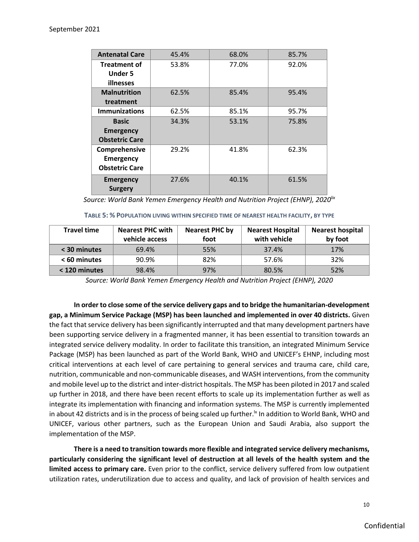| <b>Antenatal Care</b>                                      | 45.4% | 68.0% | 85.7% |
|------------------------------------------------------------|-------|-------|-------|
| <b>Treatment of</b><br><b>Under 5</b><br>illnesses         | 53.8% | 77.0% | 92.0% |
| <b>Malnutrition</b><br>treatment                           | 62.5% | 85.4% | 95.4% |
| <b>Immunizations</b>                                       | 62.5% | 85.1% | 95.7% |
| <b>Basic</b><br><b>Emergency</b><br><b>Obstetric Care</b>  | 34.3% | 53.1% | 75.8% |
| Comprehensive<br><b>Emergency</b><br><b>Obstetric Care</b> | 29.2% | 41.8% | 62.3% |
| <b>Emergency</b><br><b>Surgery</b>                         | 27.6% | 40.1% | 61.5% |

*Source: World Bank Yemen Emergency Health and Nutrition Project (EHNP), 2020lix*

**TABLE 5: % POPULATION LIVING WITHIN SPECIFIED TIME OF NEAREST HEALTH FACILITY, BY TYPE**

| <b>Travel time</b> | <b>Nearest PHC with</b><br>vehicle access | <b>Nearest PHC by</b><br>foot | <b>Nearest Hospital</b><br>with vehicle | <b>Nearest hospital</b><br>by foot |
|--------------------|-------------------------------------------|-------------------------------|-----------------------------------------|------------------------------------|
| < 30 minutes       | 69.4%                                     | 55%                           | 37.4%                                   | 17%                                |
| < 60 minutes       | 90.9%                                     | 82%                           | 57.6%                                   | 32%                                |
| < 120 minutes      | 98.4%                                     | 97%                           | 80.5%                                   | 52%                                |

*Source: World Bank Yemen Emergency Health and Nutrition Project (EHNP), 2020*

**In order to close some of the service delivery gaps and to bridge the humanitarian-development gap, a Minimum Service Package (MSP) has been launched and implemented in over 40 districts.** Given the fact that service delivery has been significantly interrupted and that many development partners have been supporting service delivery in a fragmented manner, it has been essential to transition towards an integrated service delivery modality. In order to facilitate this transition, an integrated Minimum Service Package (MSP) has been launched as part of the World Bank, WHO and UNICEF's EHNP, including most critical interventions at each level of care pertaining to general services and trauma care, child care, nutrition, communicable and non-communicable diseases, and WASH interventions, from the community and mobile level up to the district and inter-district hospitals. The MSP has been piloted in 2017 and scaled up further in 2018, and there have been recent efforts to scale up its implementation further as well as integrate its implementation with financing and information systems. The MSP is currently implemented in about 42 districts and is in the process of being scaled up further.<sup>1x</sup> In addition to World Bank, WHO and UNICEF, various other partners, such as the European Union and Saudi Arabia, also support the implementation of the MSP.

**There is a need to transition towards more flexible and integrated service delivery mechanisms, particularly considering the significant level of destruction at all levels of the health system and the limited access to primary care.** Even prior to the conflict, service delivery suffered from low outpatient utilization rates, underutilization due to access and quality, and lack of provision of health services and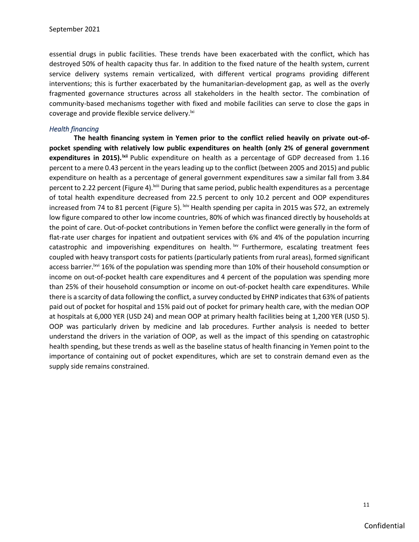essential drugs in public facilities. These trends have been exacerbated with the conflict, which has destroyed 50% of health capacity thus far. In addition to the fixed nature of the health system, current service delivery systems remain verticalized, with different vertical programs providing different interventions; this is further exacerbated by the humanitarian-development gap, as well as the overly fragmented governance structures across all stakeholders in the health sector. The combination of community-based mechanisms together with fixed and mobile facilities can serve to close the gaps in coverage and provide flexible service delivery.<sup>[xi]</sup>

### *Health financing*

**The health financing system in Yemen prior to the conflict relied heavily on private out-ofpocket spending with relatively low public expenditures on health (only 2% of general government**  expenditures in 2015).<sup>Ixii</sup> Public expenditure on health as a percentage of GDP decreased from 1.16 percent to a mere 0.43 percent in the years leading up to the conflict (between 2005 and 2015) and public expenditure on health as a percentage of general government expenditures saw a similar fall from 3.84 percent to 2.22 percent (Figure 4).<sup>Ixiii</sup> During that same period, public health expenditures as a percentage of total health expenditure decreased from 22.5 percent to only 10.2 percent and OOP expenditures increased from 74 to 81 percent (Figure 5).  $\frac{div}{dx}$  Health spending per capita in 2015 was \$72, an extremely low figure compared to other low income countries, 80% of which was financed directly by households at the point of care. Out-of-pocket contributions in Yemen before the conflict were generally in the form of flat-rate user charges for inpatient and outpatient services with 6% and 4% of the population incurring catastrophic and impoverishing expenditures on health.  $\frac{dw}{dx}$  Furthermore, escalating treatment fees coupled with heavy transport costs for patients (particularly patients from rural areas), formed significant access barrier.<sup>Ixvi</sup> 16% of the population was spending more than 10% of their household consumption or income on out-of-pocket health care expenditures and 4 percent of the population was spending more than 25% of their household consumption or income on out-of-pocket health care expenditures. While there is a scarcity of data following the conflict, a survey conducted by EHNP indicates that 63% of patients paid out of pocket for hospital and 15% paid out of pocket for primary health care, with the median OOP at hospitals at 6,000 YER (USD 24) and mean OOP at primary health facilities being at 1,200 YER (USD 5). OOP was particularly driven by medicine and lab procedures. Further analysis is needed to better understand the drivers in the variation of OOP, as well as the impact of this spending on catastrophic health spending, but these trends as well as the baseline status of health financing in Yemen point to the importance of containing out of pocket expenditures, which are set to constrain demand even as the supply side remains constrained.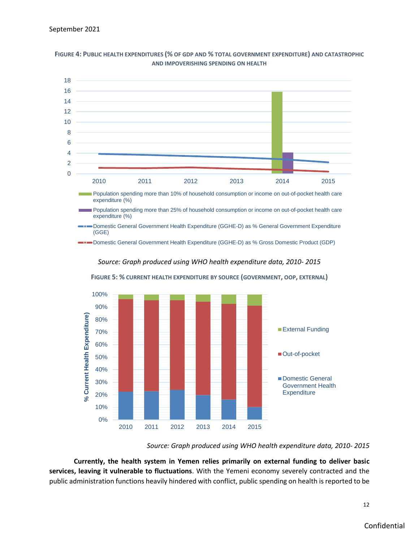

**FIGURE 4: PUBLIC HEALTH EXPENDITURES (% OF GDP AND % TOTAL GOVERNMENT EXPENDITURE) AND CATASTROPHIC AND IMPOVERISHING SPENDING ON HEALTH**



**FIGURE 5: % CURRENT HEALTH EXPENDITURE BY SOURCE (GOVERNMENT, OOP, EXTERNAL)**

*Source: Graph produced using WHO health expenditure data, 2010- 2015*

**Currently, the health system in Yemen relies primarily on external funding to deliver basic services, leaving it vulnerable to fluctuations**. With the Yemeni economy severely contracted and the public administration functions heavily hindered with conflict, public spending on health is reported to be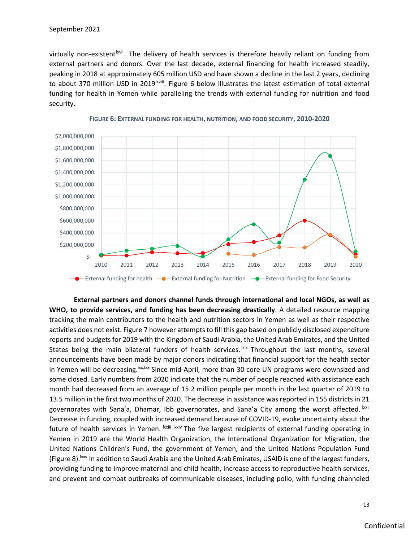virtually non-existent <sup>kvii</sup>. The delivery of health services is therefore heavily reliant on funding from external partners and donors. Over the last decade, external financing for health increased steadily, peaking in 2018 at approximately 605 million USD and have shown a decline in the last 2 years, declining to about 370 million USD in 2019<sup>| wiii</sup>. Figure 6 below illustrates the latest estimation of total external funding for health in Yemen while paralleling the trends with external funding for nutrition and food security.





**External partners and donors channel funds through international and local NGOs, as well as WHO, to provide services, and funding has been decreasing drastically**. A detailed resource mapping tracking the main contributors to the health and nutrition sectors in Yemen as well as their respective activities does not exist. Figure 7 however attempts to fill this gap based on publicly disclosed expenditure reports and budgets for 2019 with the Kingdom of Saudi Arabia, the United Arab Emirates, and the United States being the main bilateral funders of health services. Kix Throughout the last months, several announcements have been made by major donors indicating that financial support for the health sector in Yemen will be decreasing. Ixx, Ixxi Since mid-April, more than 30 core UN programs were downsized and some closed. Early numbers from 2020 indicate that the number of people reached with assistance each month had decreased from an average of 15.2 million people per month in the last quarter of 2019 to 13.5 million in the first two months of 2020. The decrease in assistance was reported in 155 districts in 21 governorates with Sana'a, Dhamar, Ibb governorates, and Sana'a City among the worst affected. <sup>Ixxii</sup> Decrease in funding, coupled with increased demand because of COVID-19, evoke uncertainty about the future of health services in Yemen. <sup>Ixxiii Ixxiv</sup> The five largest recipients of external funding operating in Yemen in 2019 are the World Health Organization, the International Organization for Migration, the United Nations Children's Fund, the government of Yemen, and the United Nations Population Fund (Figure 8). Ixxv In addition to Saudi Arabia and the United Arab Emirates, USAID is one of the largest funders, providing funding to improve maternal and child health, increase access to reproductive health services, and prevent and combat outbreaks of communicable diseases, including polio, with funding channeled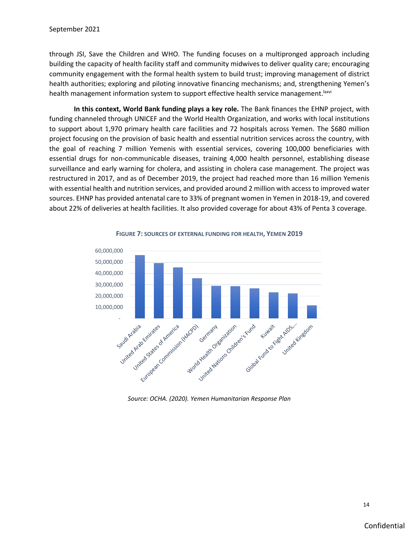through JSI, Save the Children and WHO. The funding focuses on a multipronged approach including building the capacity of health facility staff and community midwives to deliver quality care; encouraging community engagement with the formal health system to build trust; improving management of district health authorities; exploring and piloting innovative financing mechanisms; and, strengthening Yemen's health management information system to support effective health service management. Ixxvi

**In this context, World Bank funding plays a key role.** The Bank finances the EHNP project, with funding channeled through UNICEF and the World Health Organization, and works with local institutions to support about 1,970 primary health care facilities and 72 hospitals across Yemen. The \$680 million project focusing on the provision of basic health and essential nutrition services across the country, with the goal of reaching 7 million Yemenis with essential services, covering 100,000 beneficiaries with essential drugs for non-communicable diseases, training 4,000 health personnel, establishing disease surveillance and early warning for cholera, and assisting in cholera case management. The project was restructured in 2017, and as of December 2019, the project had reached more than 16 million Yemenis with essential health and nutrition services, and provided around 2 million with access to improved water sources. EHNP has provided antenatal care to 33% of pregnant women in Yemen in 2018-19, and covered about 22% of deliveries at health facilities. It also provided coverage for about 43% of Penta 3 coverage.



**FIGURE 7: SOURCES OF EXTERNAL FUNDING FOR HEALTH, YEMEN 2019**

*Source: OCHA. (2020). Yemen Humanitarian Response Plan*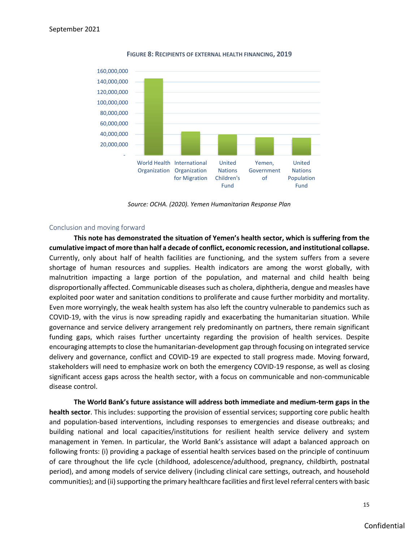

**FIGURE 8: RECIPIENTS OF EXTERNAL HEALTH FINANCING, 2019**

*Source: OCHA. (2020). Yemen Humanitarian Response Plan*

#### Conclusion and moving forward

**This note has demonstrated the situation of Yemen's health sector, which is suffering from the cumulative impact of more than half a decade of conflict, economic recession, and institutional collapse.** Currently, only about half of health facilities are functioning, and the system suffers from a severe shortage of human resources and supplies. Health indicators are among the worst globally, with malnutrition impacting a large portion of the population, and maternal and child health being disproportionally affected. Communicable diseases such as cholera, diphtheria, dengue and measles have exploited poor water and sanitation conditions to proliferate and cause further morbidity and mortality. Even more worryingly, the weak health system has also left the country vulnerable to pandemics such as COVID-19, with the virus is now spreading rapidly and exacerbating the humanitarian situation. While governance and service delivery arrangement rely predominantly on partners, there remain significant funding gaps, which raises further uncertainty regarding the provision of health services. Despite encouraging attempts to close the humanitarian-development gap through focusing on integrated service delivery and governance, conflict and COVID-19 are expected to stall progress made. Moving forward, stakeholders will need to emphasize work on both the emergency COVID-19 response, as well as closing significant access gaps across the health sector, with a focus on communicable and non-communicable disease control.

**The World Bank's future assistance will address both immediate and medium-term gaps in the health sector**. This includes: supporting the provision of essential services; supporting core public health and population-based interventions, including responses to emergencies and disease outbreaks; and building national and local capacities/institutions for resilient health service delivery and system management in Yemen. In particular, the World Bank's assistance will adapt a balanced approach on following fronts: (i) providing a package of essential health services based on the principle of continuum of care throughout the life cycle (childhood, adolescence/adulthood, pregnancy, childbirth, postnatal period), and among models of service delivery (including clinical care settings, outreach, and household communities); and (ii) supporting the primary healthcare facilities and first level referral centers with basic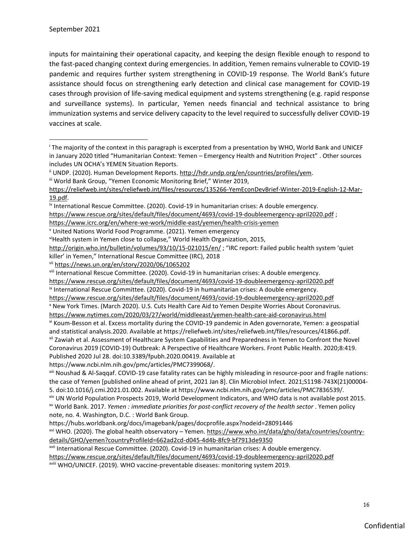inputs for maintaining their operational capacity, and keeping the design flexible enough to respond to the fast-paced changing context during emergencies. In addition, Yemen remains vulnerable to COVID-19 pandemic and requires further system strengthening in COVID-19 response. The World Bank's future assistance should focus on strengthening early detection and clinical case management for COVID-19 cases through provision of life-saving medical equipment and systems strengthening (e.g. rapid response and surveillance systems). In particular, Yemen needs financial and technical assistance to bring immunization systems and service delivery capacity to the level required to successfully deliver COVID-19 vaccines at scale.

<https://www.icrc.org/en/where-we-work/middle-east/yemen/health-crisis-yemen>

<sup>i</sup> The majority of the context in this paragraph is excerpted from a presentation by WHO, World Bank and UNICEF in January 2020 titled "Humanitarian Context: Yemen – Emergency Health and Nutrition Project" . Other sources includes UN OCHA's YEMEN Situation Reports.

<sup>&</sup>lt;sup>ii</sup> UNDP. (2020). Human Development Reports. [http://hdr.undp.org/en/countries/profiles/yem.](http://hdr.undp.org/en/countries/profiles/yem)

iii World Bank Group, "Yemen Economic Monitoring Brief," Winter 2019,

[https://reliefweb.int/sites/reliefweb.int/files/resources/135266-YemEconDevBrief-Winter-2019-English-12-Mar-](https://reliefweb.int/sites/reliefweb.int/files/resources/135266-YemEconDevBrief-Winter-2019-English-12-Mar-19.pdf)[19.pdf.](https://reliefweb.int/sites/reliefweb.int/files/resources/135266-YemEconDevBrief-Winter-2019-English-12-Mar-19.pdf)

iv International Rescue Committee. (2020). Covid-19 in humanitarian crises: A double emergency.

<https://www.rescue.org/sites/default/files/document/4693/covid-19-doubleemergency-april2020.pdf>;

<sup>v</sup> United Nations World Food Programme. (2021). Yemen emergency

viHealth system in Yemen close to collapse," World Health Organization, 2015,

<http://origin.who.int/bulletin/volumes/93/10/15-021015/en/> ; "IRC report: Failed public health system 'quiet killer' in Yemen," International Rescue Committee (IRC), 2018

vii <https://news.un.org/en/story/2020/06/1065202>

viii International Rescue Committee. (2020). Covid-19 in humanitarian crises: A double emergency.

<https://www.rescue.org/sites/default/files/document/4693/covid-19-doubleemergency-april2020.pdf>

ix International Rescue Committee. (2020). Covid-19 in humanitarian crises: A double emergency.

<https://www.rescue.org/sites/default/files/document/4693/covid-19-doubleemergency-april2020.pdf>

<sup>x</sup> New York Times. (March 2020). U.S. Cuts Health Care Aid to Yemen Despite Worries About Coronavirus.

<https://www.nytimes.com/2020/03/27/world/middleeast/yemen-health-care-aid-coronavirus.html>

xi Koum-Besson et al. Excess mortality during the COVID-19 pandemic in Aden governorate, Yemen: a geospatial and statistical analysis.2020. Available at https://reliefweb.int/sites/reliefweb.int/files/resources/41866.pdf. xii Zawiah et al. Assessment of Healthcare System Capabilities and Preparedness in Yemen to Confront the Novel Coronavirus 2019 (COVID-19) Outbreak: A Perspective of Healthcare Workers. Front Public Health. 2020;8:419. Published 2020 Jul 28. doi:10.3389/fpubh.2020.00419. Available at

https://www.ncbi.nlm.nih.gov/pmc/articles/PMC7399068/.

xiii Noushad & Al-Saqqaf. COVID-19 case fatality rates can be highly misleading in resource-poor and fragile nations: the case of Yemen [published online ahead of print, 2021 Jan 8]. Clin Microbiol Infect. 2021;S1198-743X(21)00004- 5. doi:10.1016/j.cmi.2021.01.002. Available at https://www.ncbi.nlm.nih.gov/pmc/articles/PMC7836539/.

xiv UN World Population Prospects 2019, World Development Indicators, and WHO data is not available post 2015. xv World Bank. 2017. *Yemen : immediate priorities for post-conflict recovery of the health sector* . Yemen policy note, no. 4. Washington, D.C. : World Bank Group.

https://hubs.worldbank.org/docs/imagebank/pages/docprofile.aspx?nodeid=28091446

xvi WHO. (2020). The global health observatory - Yemen. [https://www.who.int/data/gho/data/countries/country](https://www.who.int/data/gho/data/countries/country-details/GHO/yemen?countryProfileId=662ad2cd-d045-4d4b-8fc9-bf7913de9350)[details/GHO/yemen?countryProfileId=662ad2cd-d045-4d4b-8fc9-bf7913de9350](https://www.who.int/data/gho/data/countries/country-details/GHO/yemen?countryProfileId=662ad2cd-d045-4d4b-8fc9-bf7913de9350)

xvii International Rescue Committee. (2020). Covid-19 in humanitarian crises: A double emergency.

<https://www.rescue.org/sites/default/files/document/4693/covid-19-doubleemergency-april2020.pdf>

xviii WHO/UNICEF. (2019). WHO vaccine-preventable diseases: monitoring system 2019.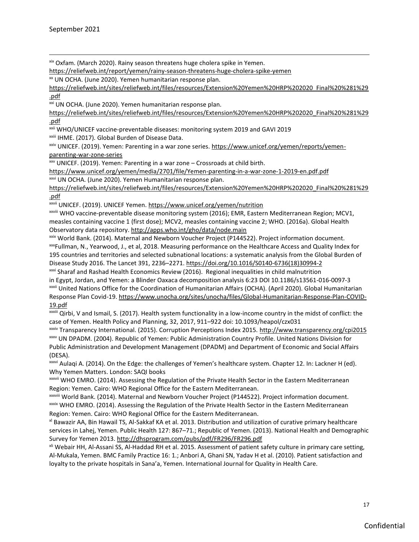xix Oxfam. (March 2020). Rainy season threatens huge cholera spike in Yemen.

<https://reliefweb.int/report/yemen/rainy-season-threatens-huge-cholera-spike-yemen>

xx UN OCHA. (June 2020). Yemen humanitarian response plan.

[https://reliefweb.int/sites/reliefweb.int/files/resources/Extension%20Yemen%20HRP%202020\\_Final%20%281%29](https://reliefweb.int/sites/reliefweb.int/files/resources/Extension%20Yemen%20HRP%202020_Final%20%281%29.pdf) [.pdf](https://reliefweb.int/sites/reliefweb.int/files/resources/Extension%20Yemen%20HRP%202020_Final%20%281%29.pdf)

xxi UN OCHA. (June 2020). Yemen humanitarian response plan.

[https://reliefweb.int/sites/reliefweb.int/files/resources/Extension%20Yemen%20HRP%202020\\_Final%20%281%29](https://reliefweb.int/sites/reliefweb.int/files/resources/Extension%20Yemen%20HRP%202020_Final%20%281%29.pdf) [.pdf](https://reliefweb.int/sites/reliefweb.int/files/resources/Extension%20Yemen%20HRP%202020_Final%20%281%29.pdf)

xxii WHO/UNICEF vaccine-preventable diseases: monitoring system 2019 and GAVI 2019

xxiii IHME. (2017). Global Burden of Disease Data.

xxiv UNICEF. (2019). Yemen: Parenting in a war zone series. [https://www.unicef.org/yemen/reports/yemen](https://www.unicef.org/yemen/reports/yemen-parenting-war-zone-series)[parenting-war-zone-series](https://www.unicef.org/yemen/reports/yemen-parenting-war-zone-series)

 $xav$  UNICEF. (2019). Yemen: Parenting in a war zone – Crossroads at child birth.

<https://www.unicef.org/yemen/media/2701/file/Yemen-parenting-in-a-war-zone-1-2019-en.pdf.pdf>

xxvi UN OCHA. (June 2020). Yemen Humanitarian response plan.

[https://reliefweb.int/sites/reliefweb.int/files/resources/Extension%20Yemen%20HRP%202020\\_Final%20%281%29](https://reliefweb.int/sites/reliefweb.int/files/resources/Extension%20Yemen%20HRP%202020_Final%20%281%29.pdf) [.pdf](https://reliefweb.int/sites/reliefweb.int/files/resources/Extension%20Yemen%20HRP%202020_Final%20%281%29.pdf)

xxvii UNICEF. (2019). UNICEF Yemen.<https://www.unicef.org/yemen/nutrition>

xxviii WHO vaccine-preventable disease monitoring system (2016); EMR, Eastern Mediterranean Region; MCV1, measles containing vaccine 1 (first dose); MCV2, measles containing vaccine 2; WHO. (2016a). Global Health Observatory data repository[. http://apps.who.int/gho/data/node.main](http://apps.who.int/gho/data/node.main)

xxix World Bank. (2014). Maternal and Newborn Voucher Project (P144522). Project information document. xxxFullman, N., Yearwood, J., et al, 2018. Measuring performance on the Healthcare Access and Quality Index for 195 countries and territories and selected subnational locations: a systematic analysis from the Global Burden of Disease Study 2016. The Lancet 391, 2236–2271. [https://doi.org/10.1016/S0140-6736\(18\)30994-2](https://doi.org/10.1016/S0140-6736(18)30994-2)

xxxi Sharaf and Rashad Health Economics Review (2016). Regional inequalities in child malnutrition

in Egypt, Jordan, and Yemen: a Blinder Oaxaca decomposition analysis 6:23 DOI 10.1186/s13561-016-0097-3 xxxii United Nations Office for the Coordination of Humanitarian Affairs (OCHA). (April 2020). Global Humanitarian Response Plan Covid-19[. https://www.unocha.org/sites/unocha/files/Global-Humanitarian-Response-Plan-COVID-](https://www.unocha.org/sites/unocha/files/Global-Humanitarian-Response-Plan-COVID-19.pdf)[19.pdf](https://www.unocha.org/sites/unocha/files/Global-Humanitarian-Response-Plan-COVID-19.pdf)

xxxiii Qirbi, V and Ismail, S. (2017). Health system functionality in a low-income country in the midst of conflict: the case of Yemen. Health Policy and Planning, 32, 2017, 911–922 doi: 10.1093/heapol/czx031

xxxiv Transparency International. (2015). Corruption Perceptions Index 2015.<http://www.transparency.org/cpi2015> xxxv UN DPADM. (2004). Republic of Yemen: Public Administration Country Profile. United Nations Division for Public Administration and Development Management (DPADM) and Department of Economic and Social Affairs (DESA).

xxxvi Aulaqi A. (2014). On the Edge: the challenges of Yemen's healthcare system. Chapter 12. In: Lackner H (ed). Why Yemen Matters. London: SAQI books

xxxvii WHO EMRO. (2014). Assessing the Regulation of the Private Health Sector in the Eastern Mediterranean Region: Yemen. Cairo: WHO Regional Office for the Eastern Mediterranean.

xxxviii World Bank. (2014). Maternal and Newborn Voucher Project (P144522). Project information document. xxxix WHO EMRO. (2014). Assessing the Regulation of the Private Health Sector in the Eastern Mediterranean Region: Yemen. Cairo: WHO Regional Office for the Eastern Mediterranean.

xl Bawazir AA, Bin Hawail TS, Al-Sakkaf KA et al. 2013. Distribution and utilization of curative primary healthcare services in Lahej, Yemen. Public Health 127: 867–71.; Republic of Yemen. (2013). National Health and Demographic Survey for Yemen 2013.<http://dhsprogram.com/pubs/pdf/FR296/FR296.pdf>

xli Webair HH, Al-Assani SS, Al-Haddad RH et al. 2015. Assessment of patient safety culture in primary care setting, Al-Mukala, Yemen. BMC Family Practice 16: 1.; Anbori A, Ghani SN, Yadav H et al. (2010). Patient satisfaction and loyalty to the private hospitals in Sana'a, Yemen. International Journal for Quality in Health Care.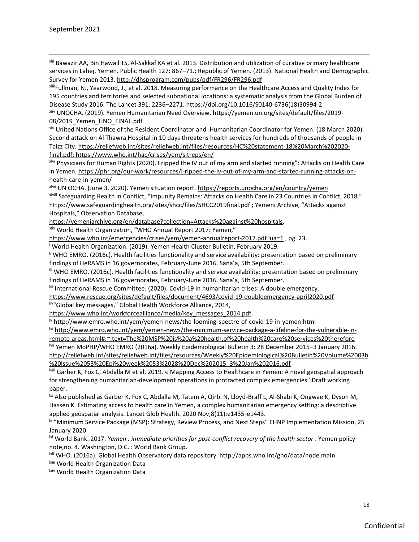xlii Bawazir AA, Bin Hawail TS, Al-Sakkaf KA et al. 2013. Distribution and utilization of curative primary healthcare services in Lahej, Yemen. Public Health 127: 867–71.; Republic of Yemen. (2013). National Health and Demographic Survey for Yemen 2013.<http://dhsprogram.com/pubs/pdf/FR296/FR296.pdf>

xliiiFullman, N., Yearwood, J., et al, 2018. Measuring performance on the Healthcare Access and Quality Index for 195 countries and territories and selected subnational locations: a systematic analysis from the Global Burden of Disease Study 2016. The Lancet 391, 2236–2271. [https://doi.org/10.1016/S0140-6736\(18\)30994-2](https://doi.org/10.1016/S0140-6736(18)30994-2)

xliv UNOCHA. (2019). Yemen Humanitarian Need Overview. https://yemen.un.org/sites/default/files/2019- 08/2019 Yemen HNO FINAL.pdf

xlv United Nations Office of the Resident Coordinator and Humanitarian Coordinator for Yemen. (18 March 2020). Second attack on Al Thawra Hospital in 10 days threatens health services for hundreds of thousands of people in Taizz City[. https://reliefweb.int/sites/reliefweb.int/files/resources/HC%20statement-18%20March%202020](https://reliefweb.int/sites/reliefweb.int/files/resources/HC%20statement-18%20March%202020-final.pdf) [final.pdf;](https://reliefweb.int/sites/reliefweb.int/files/resources/HC%20statement-18%20March%202020-final.pdf)<https://www.who.int/hac/crises/yem/sitreps/en/>

xlvi Physicians for Human Rights (2020). I ripped the IV out of my arm and started running": Attacks on Health Care in Yemen[. https://phr.org/our-work/resources/i-ripped-the-iv-out-of-my-arm-and-started-running-attacks-on](https://phr.org/our-work/resources/i-ripped-the-iv-out-of-my-arm-and-started-running-attacks-on-health-care-in-yemen/)[health-care-in-yemen/](https://phr.org/our-work/resources/i-ripped-the-iv-out-of-my-arm-and-started-running-attacks-on-health-care-in-yemen/)

xlvii UN OCHA. (June 3, 2020). Yemen situation report.<https://reports.unocha.org/en/country/yemen> xlviii Safeguarding Health in Conflict, "Impunity Remains: Attacks on Health Care in 23 Countries in Conflict, 2018," <https://www.safeguardinghealth.org/sites/shcc/files/SHCC2019final.pdf> ; Yemeni Archive, "Attacks against Hospitals," Observation Database,

[https://yemeniarchive.org/en/database?collection=Attacks%20against%20hospitals.](https://yemeniarchive.org/en/database?collection=Attacks%20against%20hospitals)

xlix World Health Organization, "WHO Annual Report 2017: Yemen,"

<https://www.who.int/emergencies/crises/yem/yemen-annualreport-2017.pdf?ua=1> , pg. 23.

<sup>l</sup> World Health Organization. (2019). Yemen Health Cluster Bulletin, February 2019.

li WHO EMRO. (2016c). Health facilities functionality and service availability: presentation based on preliminary findings of HeRAMS in 16 governorates, February-June 2016. Sana'a, 5th September.

lii WHO EMRO. (2016c). Health facilities functionality and service availability: presentation based on preliminary findings of HeRAMS in 16 governorates, February-June 2016. Sana'a, 5th September.

liii International Rescue Committee. (2020). Covid-19 in humanitarian crises: A double emergency.

<https://www.rescue.org/sites/default/files/document/4693/covid-19-doubleemergency-april2020.pdf>

liv"Global key messages," Global Health Workforce Alliance, 2014,

[https://www.who.int/workforcealliance/media/key\\_messages\\_2014.pdf.](https://www.who.int/workforcealliance/media/key_messages_2014.pdf)

lv <http://www.emro.who.int/yem/yemen-news/the-looming-spectre-of-covid-19-in-yemen.html>

lvi [http://www.emro.who.int/yem/yemen-news/the-minimum-service-package-a-lifeline-for-the-vulnerable-in-](http://www.emro.who.int/yem/yemen-news/the-minimum-service-package-a-lifeline-for-the-vulnerable-in-remote-areas.html#:~:text=The%20MSP%20is%20a%20health,of%20health%20care%20services%20therefore)

[remote-areas.html#:~:text=The%20MSP%20is%20a%20health,of%20health%20care%20services%20therefore](http://www.emro.who.int/yem/yemen-news/the-minimum-service-package-a-lifeline-for-the-vulnerable-in-remote-areas.html#:~:text=The%20MSP%20is%20a%20health,of%20health%20care%20services%20therefore) lvii Yemen MoPHP/WHO EMRO (2016a). Weekly Epidemiological Bulletin 3: 28 December 2015–3 January 2016. [http://reliefweb.int/sites/reliefweb.int/files/resources/Weekly%20Epidemiological%20Bulletin%20Volume%2003b](http://reliefweb.int/sites/reliefweb.int/files/resources/Weekly%20Epidemiological%20Bulletin%20Volume%2003b%20Issue%2053%20Epi%20week%2053%2028%20Dec%202015_3%20Jan%202016.pdf) [%20Issue%2053%20Epi%20week%2053%2028%20Dec%202015\\_3%20Jan%202016.pdf](http://reliefweb.int/sites/reliefweb.int/files/resources/Weekly%20Epidemiological%20Bulletin%20Volume%2003b%20Issue%2053%20Epi%20week%2053%2028%20Dec%202015_3%20Jan%202016.pdf) 

lviii Garber K, Fox C, Abdalla M et al, 2019. « Mapping Access to Healthcare in Yemen: A novel geospatial approach for strengthening humanitarian-development operations in protracted complex emergencies" Draft working paper.

lix Also published as Garber K, Fox C, Abdalla M, Tatem A, Qirbi N, Lloyd-Braff L, Al-Shabi K, Ongwae K, Dyson M, Hassen K. Estimating access to health care in Yemen, a complex humanitarian emergency setting: a descriptive applied geospatial analysis. Lancet Glob Health. 2020 Nov;8(11):e1435-e1443.

<sup>k</sup> "Minimum Service Package (MSP): Strategy, Review Process, and Next Steps" EHNP Implementation Mission, 25 January 2020

lxi World Bank. 2017. *Yemen : immediate priorities for post-conflict recovery of the health sector* . Yemen policy note,no. 4. Washington, D.C. : World Bank Group.

lxii WHO. (2016a). Global Health Observatory data repository. http://apps.who.int/gho/data/node.main

lxiii World Health Organization Data

lxiv World Health Organization Data